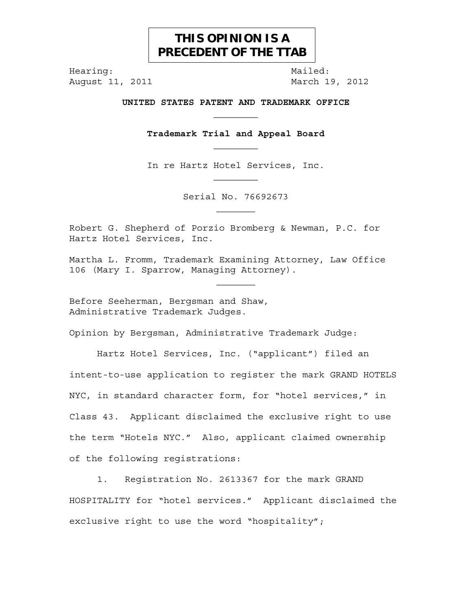## **THIS OPINION IS A PRECEDENT OF THE TTAB**

Hearing: Mailed:

August 11, 2011 **March 19, 2012** 

**UNITED STATES PATENT AND TRADEMARK OFFICE**   $\mathcal{L}_\text{max}$ 

**Trademark Trial and Appeal Board** 

In re Hartz Hotel Services, Inc.

Serial No. 76692673  $\mathcal{L}_\text{max}$ 

Robert G. Shepherd of Porzio Bromberg & Newman, P.C. for Hartz Hotel Services, Inc.

Martha L. Fromm, Trademark Examining Attorney, Law Office 106 (Mary I. Sparrow, Managing Attorney).

 $\mathcal{L}_\text{max}$ 

Before Seeherman, Bergsman and Shaw, Administrative Trademark Judges.

Opinion by Bergsman, Administrative Trademark Judge:

Hartz Hotel Services, Inc. ("applicant") filed an intent-to-use application to register the mark GRAND HOTELS NYC, in standard character form, for "hotel services," in Class 43. Applicant disclaimed the exclusive right to use the term "Hotels NYC." Also, applicant claimed ownership of the following registrations:

 1. Registration No. 2613367 for the mark GRAND HOSPITALITY for "hotel services." Applicant disclaimed the exclusive right to use the word "hospitality";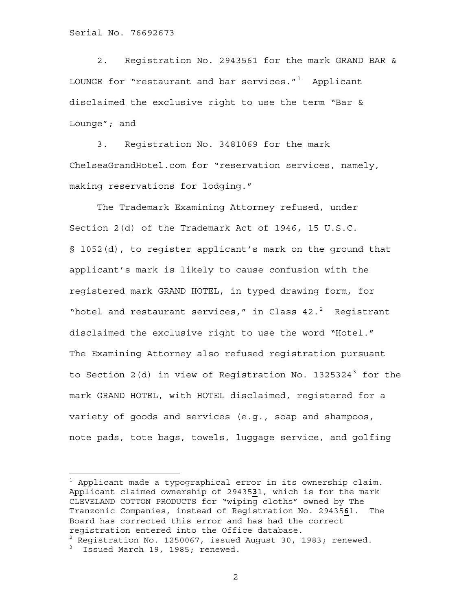2. Registration No. 2943561 for the mark GRAND BAR & LOUNGE for "restaurant and bar services." $1$  Applicant disclaimed the exclusive right to use the term "Bar & Lounge"; and

 3. Registration No. 3481069 for the mark ChelseaGrandHotel.com for "reservation services, namely, making reservations for lodging."

The Trademark Examining Attorney refused, under Section 2(d) of the Trademark Act of 1946, 15 U.S.C. § 1052(d), to register applicant's mark on the ground that applicant's mark is likely to cause confusion with the registered mark GRAND HOTEL, in typed drawing form, for "hotel and restaurant services," in Class  $42.^2$  $42.^2$  $42.^2$  Registrant disclaimed the exclusive right to use the word "Hotel." The Examining Attorney also refused registration pursuant to Section 2(d) in view of Registration No.  $1325324^3$  $1325324^3$  $1325324^3$  for the mark GRAND HOTEL, with HOTEL disclaimed, registered for a variety of goods and services (e.g., soap and shampoos, note pads, tote bags, towels, luggage service, and golfing

÷.

<span id="page-1-0"></span> $1$  Applicant made a typographical error in its ownership claim. Applicant claimed ownership of 29435**3**1, which is for the mark CLEVELAND COTTON PRODUCTS for "wiping cloths" owned by The Tranzonic Companies, instead of Registration No. 29435**6**1. The Board has corrected this error and has had the correct registration entered into the Office database.

<span id="page-1-1"></span> $^2$  Registration No. 1250067, issued August 30, 1983; renewed.

<span id="page-1-2"></span><sup>3</sup> Issued March 19, 1985; renewed.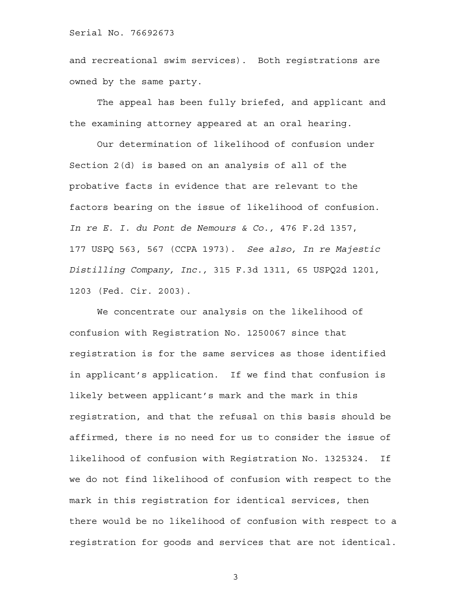and recreational swim services). Both registrations are owned by the same party.

 The appeal has been fully briefed, and applicant and the examining attorney appeared at an oral hearing.

 Our determination of likelihood of confusion under Section 2(d) is based on an analysis of all of the probative facts in evidence that are relevant to the factors bearing on the issue of likelihood of confusion. *In re E. I. du Pont de Nemours & Co.,* 476 F.2d 1357, 177 USPQ 563, 567 (CCPA 1973). *See also, In re Majestic Distilling Company, Inc.,* 315 F.3d 1311, 65 USPQ2d 1201, 1203 (Fed. Cir. 2003).

We concentrate our analysis on the likelihood of confusion with Registration No. 1250067 since that registration is for the same services as those identified in applicant's application. If we find that confusion is likely between applicant's mark and the mark in this registration, and that the refusal on this basis should be affirmed, there is no need for us to consider the issue of likelihood of confusion with Registration No. 1325324. If we do not find likelihood of confusion with respect to the mark in this registration for identical services, then there would be no likelihood of confusion with respect to a registration for goods and services that are not identical.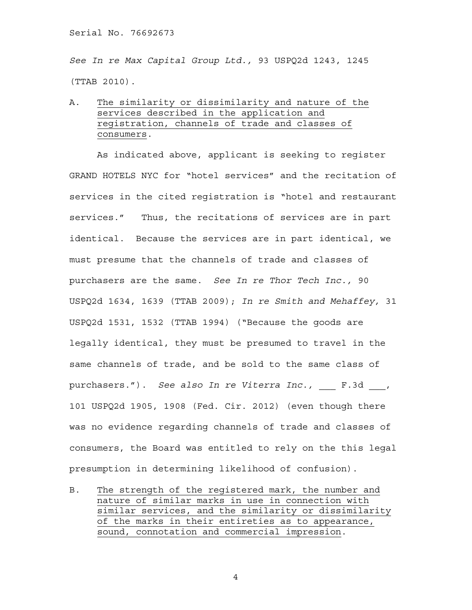*See In re Max Capital Group Ltd.,* 93 USPQ2d 1243, 1245 (TTAB 2010).

A. The similarity or dissimilarity and nature of the services described in the application and registration, channels of trade and classes of consumers.

 As indicated above, applicant is seeking to register GRAND HOTELS NYC for "hotel services" and the recitation of services in the cited registration is "hotel and restaurant services." Thus, the recitations of services are in part identical. Because the services are in part identical, we must presume that the channels of trade and classes of purchasers are the same. *See In re Thor Tech Inc.,* 90 USPQ2d 1634, 1639 (TTAB 2009); *In re Smith and Mehaffey,* 31 USPQ2d 1531, 1532 (TTAB 1994) ("Because the goods are legally identical, they must be presumed to travel in the same channels of trade, and be sold to the same class of purchasers."). *See also In re Viterra Inc.*, F.3d , 101 USPQ2d 1905, 1908 (Fed. Cir. 2012) (even though there was no evidence regarding channels of trade and classes of consumers, the Board was entitled to rely on the this legal presumption in determining likelihood of confusion).

B. The strength of the registered mark, the number and nature of similar marks in use in connection with similar services, and the similarity or dissimilarity of the marks in their entireties as to appearance, sound, connotation and commercial impression.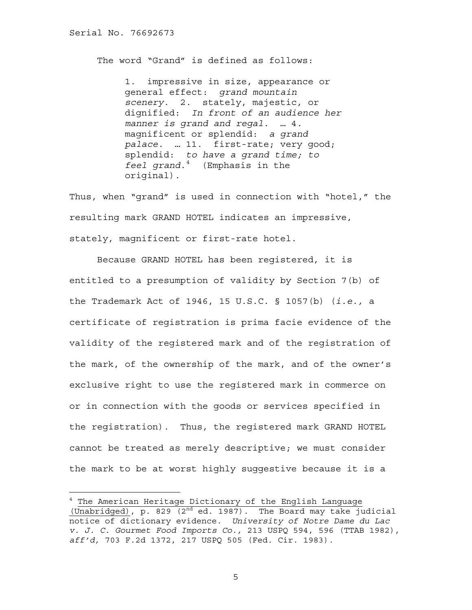The word "Grand" is defined as follows:

1. impressive in size, appearance or general effect: *grand mountain scenery*. 2. stately, majestic, or dignified: *In front of an audience her manner is grand and regal.* … 4. magnificent or splendid: *a grand palace.* … 11. first-rate; very good; splendid: *to have a grand time; to feel grand.*[4](#page-4-0) (Emphasis in the original).

Thus, when "grand" is used in connection with "hotel," the resulting mark GRAND HOTEL indicates an impressive, stately, magnificent or first-rate hotel.

Because GRAND HOTEL has been registered, it is entitled to a presumption of validity by Section 7(b) of the Trademark Act of 1946, 15 U.S.C. § 1057(b) (*i.e.,* a certificate of registration is prima facie evidence of the validity of the registered mark and of the registration of the mark, of the ownership of the mark, and of the owner's exclusive right to use the registered mark in commerce on or in connection with the goods or services specified in the registration). Thus, the registered mark GRAND HOTEL cannot be treated as merely descriptive; we must consider the mark to be at worst highly suggestive because it is a

<span id="page-4-0"></span><sup>4</sup> The American Heritage Dictionary of the English Language (Unabridged), p. 829 ( $2^{nd}$  ed. 1987). The Board may take judicial notice of dictionary evidence. *University of Notre Dame du Lac v. J. C. Gourmet Food Imports Co.,* 213 USPQ 594, 596 (TTAB 1982), *aff'd,* 703 F.2d 1372, 217 USPQ 505 (Fed. Cir. 1983).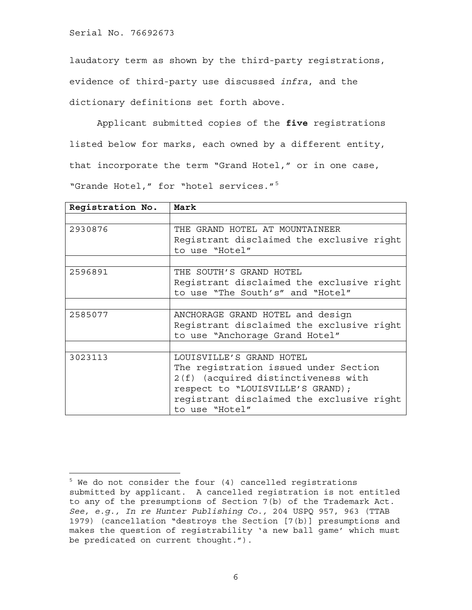÷.

laudatory term as shown by the third-party registrations, evidence of third-party use discussed *infra*, and the dictionary definitions set forth above.

Applicant submitted copies of the **five** registrations listed below for marks, each owned by a different entity, that incorporate the term "Grand Hotel," or in one case, "Grande Hotel," for "hotel services."[5](#page-5-0)

| Registration No. | Mark                                      |
|------------------|-------------------------------------------|
|                  |                                           |
| 2930876          | THE GRAND HOTEL AT MOUNTAINEER            |
|                  | Registrant disclaimed the exclusive right |
|                  | to use "Hotel"                            |
|                  |                                           |
| 2596891          | THE SOUTH'S GRAND HOTEL                   |
|                  | Registrant disclaimed the exclusive right |
|                  | to use "The South's" and "Hotel"          |
|                  |                                           |
| 2585077          | ANCHORAGE GRAND HOTEL and design          |
|                  | Reqistrant disclaimed the exclusive right |
|                  | to use "Anchorage Grand Hotel"            |
|                  |                                           |
| 3023113          | LOUISVILLE'S GRAND HOTEL                  |
|                  | The registration issued under Section     |
|                  | 2(f) (acquired distinctiveness with       |
|                  | respect to "LOUISVILLE'S GRAND);          |
|                  | registrant disclaimed the exclusive right |
|                  | to use "Hotel"                            |

<span id="page-5-0"></span><sup>5</sup> We do not consider the four (4) cancelled registrations submitted by applicant. A cancelled registration is not entitled to any of the presumptions of Section 7(b) of the Trademark Act. *See, e.g., In re Hunter Publishing Co.,* 204 USPQ 957, 963 (TTAB 1979) (cancellation "destroys the Section [7(b)] presumptions and makes the question of registrability 'a new ball game' which must be predicated on current thought.").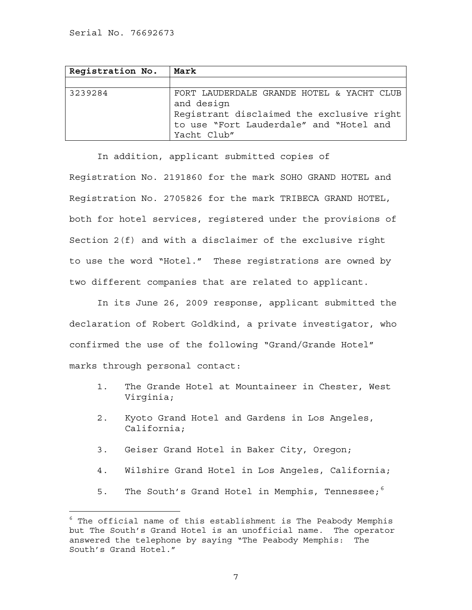÷.

| Registration No. | Mark                                                                                                                                                           |
|------------------|----------------------------------------------------------------------------------------------------------------------------------------------------------------|
|                  |                                                                                                                                                                |
| 3239284          | FORT LAUDERDALE GRANDE HOTEL & YACHT CLUB<br>and design<br>Reqistrant disclaimed the exclusive right<br>to use "Fort Lauderdale" and "Hotel and<br>Yacht Club" |

 In addition, applicant submitted copies of Registration No. 2191860 for the mark SOHO GRAND HOTEL and Registration No. 2705826 for the mark TRIBECA GRAND HOTEL, both for hotel services, registered under the provisions of Section 2(f) and with a disclaimer of the exclusive right to use the word "Hotel." These registrations are owned by two different companies that are related to applicant.

 In its June 26, 2009 response, applicant submitted the declaration of Robert Goldkind, a private investigator, who confirmed the use of the following "Grand/Grande Hotel" marks through personal contact:

- 1. The Grande Hotel at Mountaineer in Chester, West Virginia;
- 2. Kyoto Grand Hotel and Gardens in Los Angeles, California;
- 3. Geiser Grand Hotel in Baker City, Oregon;
- 4. Wilshire Grand Hotel in Los Angeles, California;
- 5. The South's Grand Hotel in Memphis, Tennessee;<sup>[6](#page-6-0)</sup>

<span id="page-6-0"></span> $^6$  The official name of this establishment is The Peabody Memphis but The South's Grand Hotel is an unofficial name. The operator answered the telephone by saying "The Peabody Memphis: The South's Grand Hotel."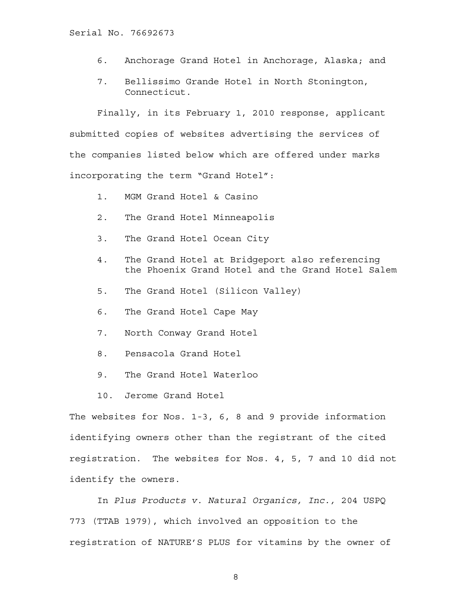- 6. Anchorage Grand Hotel in Anchorage, Alaska; and
- 7. Bellissimo Grande Hotel in North Stonington, Connecticut.

 Finally, in its February 1, 2010 response, applicant submitted copies of websites advertising the services of the companies listed below which are offered under marks incorporating the term "Grand Hotel":

- 1. MGM Grand Hotel & Casino
- 2. The Grand Hotel Minneapolis
- 3. The Grand Hotel Ocean City
- 4. The Grand Hotel at Bridgeport also referencing the Phoenix Grand Hotel and the Grand Hotel Salem
- 5. The Grand Hotel (Silicon Valley)
- 6. The Grand Hotel Cape May
- 7. North Conway Grand Hotel
- 8. Pensacola Grand Hotel
- 9. The Grand Hotel Waterloo
- 10. Jerome Grand Hotel

The websites for Nos. 1-3, 6, 8 and 9 provide information identifying owners other than the registrant of the cited registration. The websites for Nos. 4, 5, 7 and 10 did not identify the owners.

In *Plus Products v. Natural Organics, Inc.,* 204 USPQ 773 (TTAB 1979), which involved an opposition to the registration of NATURE'S PLUS for vitamins by the owner of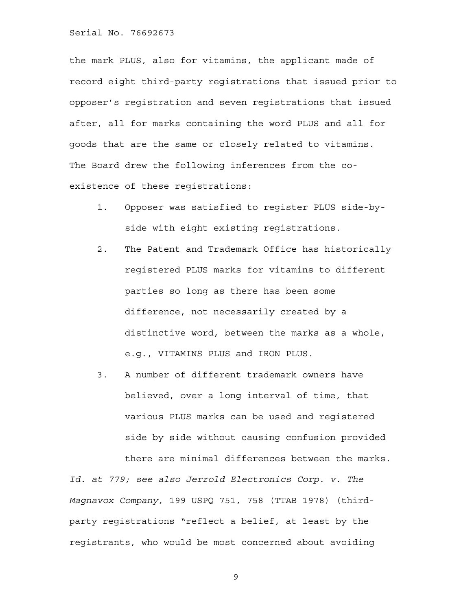the mark PLUS, also for vitamins, the applicant made of record eight third-party registrations that issued prior to opposer's registration and seven registrations that issued after, all for marks containing the word PLUS and all for goods that are the same or closely related to vitamins. The Board drew the following inferences from the coexistence of these registrations:

- 1. Opposer was satisfied to register PLUS side-byside with eight existing registrations.
- 2. The Patent and Trademark Office has historically registered PLUS marks for vitamins to different parties so long as there has been some difference, not necessarily created by a distinctive word, between the marks as a whole, e.g., VITAMINS PLUS and IRON PLUS.
- 3. A number of different trademark owners have believed, over a long interval of time, that various PLUS marks can be used and registered side by side without causing confusion provided there are minimal differences between the marks.

*Id. at 779; see also Jerrold Electronics Corp. v. The Magnavox Company,* 199 USPQ 751, 758 (TTAB 1978) (thirdparty registrations "reflect a belief, at least by the registrants, who would be most concerned about avoiding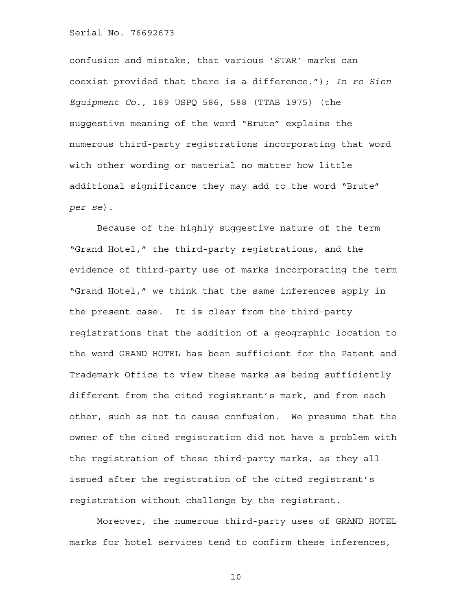confusion and mistake, that various 'STAR' marks can coexist provided that there is a difference."); *In re Sien Equipment Co.,* 189 USPQ 586, 588 (TTAB 1975) (the suggestive meaning of the word "Brute" explains the numerous third-party registrations incorporating that word with other wording or material no matter how little additional significance they may add to the word "Brute" *per se*).

Because of the highly suggestive nature of the term "Grand Hotel," the third-party registrations, and the evidence of third-party use of marks incorporating the term "Grand Hotel," we think that the same inferences apply in the present case. It is clear from the third-party registrations that the addition of a geographic location to the word GRAND HOTEL has been sufficient for the Patent and Trademark Office to view these marks as being sufficiently different from the cited registrant's mark, and from each other, such as not to cause confusion. We presume that the owner of the cited registration did not have a problem with the registration of these third-party marks, as they all issued after the registration of the cited registrant's registration without challenge by the registrant.

Moreover, the numerous third-party uses of GRAND HOTEL marks for hotel services tend to confirm these inferences,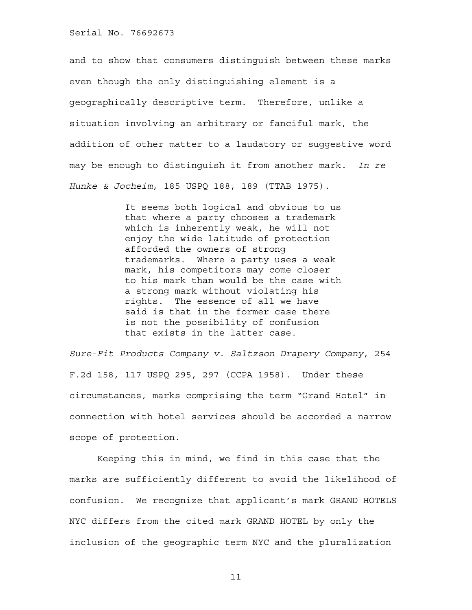and to show that consumers distinguish between these marks even though the only distinguishing element is a geographically descriptive term. Therefore, unlike a situation involving an arbitrary or fanciful mark, the addition of other matter to a laudatory or suggestive word may be enough to distinguish it from another mark. *In re Hunke & Jocheim,* 185 USPQ 188, 189 (TTAB 1975).

> It seems both logical and obvious to us that where a party chooses a trademark which is inherently weak, he will not enjoy the wide latitude of protection afforded the owners of strong trademarks. Where a party uses a weak mark, his competitors may come closer to his mark than would be the case with a strong mark without violating his rights. The essence of all we have said is that in the former case there is not the possibility of confusion that exists in the latter case.

*Sure-Fit Products Company v. Saltzson Drapery Company*, 254 F.2d 158, 117 USPQ 295, 297 (CCPA 1958). Under these circumstances, marks comprising the term "Grand Hotel" in connection with hotel services should be accorded a narrow scope of protection.

Keeping this in mind, we find in this case that the marks are sufficiently different to avoid the likelihood of confusion. We recognize that applicant's mark GRAND HOTELS NYC differs from the cited mark GRAND HOTEL by only the inclusion of the geographic term NYC and the pluralization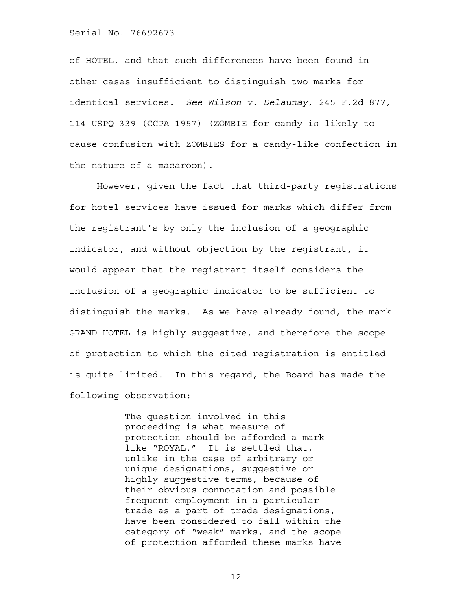of HOTEL, and that such differences have been found in other cases insufficient to distinguish two marks for identical services. *See Wilson v. Delaunay,* 245 F.2d 877, 114 USPQ 339 (CCPA 1957) (ZOMBIE for candy is likely to cause confusion with ZOMBIES for a candy-like confection in the nature of a macaroon).

However, given the fact that third-party registrations for hotel services have issued for marks which differ from the registrant's by only the inclusion of a geographic indicator, and without objection by the registrant, it would appear that the registrant itself considers the inclusion of a geographic indicator to be sufficient to distinguish the marks. As we have already found, the mark GRAND HOTEL is highly suggestive, and therefore the scope of protection to which the cited registration is entitled is quite limited. In this regard, the Board has made the following observation:

> The question involved in this proceeding is what measure of protection should be afforded a mark like "ROYAL." It is settled that, unlike in the case of arbitrary or unique designations, suggestive or highly suggestive terms, because of their obvious connotation and possible frequent employment in a particular trade as a part of trade designations, have been considered to fall within the category of "weak" marks, and the scope of protection afforded these marks have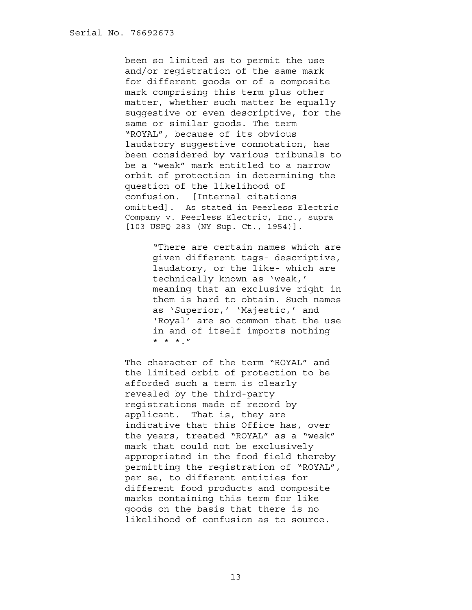been so limited as to permit the use and/or registration of the same mark for different goods or of a composite mark comprising this term plus other matter, whether such matter be equally suggestive or even descriptive, for the same or similar goods. The term "ROYAL", because of its obvious laudatory suggestive connotation, has been considered by various tribunals to be a "weak" mark entitled to a narrow orbit of protection in determining the question of the likelihood of confusion. [Internal citations omitted]. As stated in Peerless Electric Company v. Peerless Electric, Inc., supra [103 USPQ 283 (NY Sup. Ct., 1954)].

> "There are certain names which are given different tags- descriptive, laudatory, or the like- which are technically known as 'weak,' meaning that an exclusive right in them is hard to obtain. Such names as 'Superior,' 'Majestic,' and 'Royal' are so common that the use in and of itself imports nothing \* \* \*."

The character of the term "ROYAL" and the limited orbit of protection to be afforded such a term is clearly revealed by the third-party registrations made of record by applicant. That is, they are indicative that this Office has, over the years, treated "ROYAL" as a "weak" mark that could not be exclusively appropriated in the food field thereby permitting the registration of "ROYAL", per se, to different entities for different food products and composite marks containing this term for like goods on the basis that there is no likelihood of confusion as to source.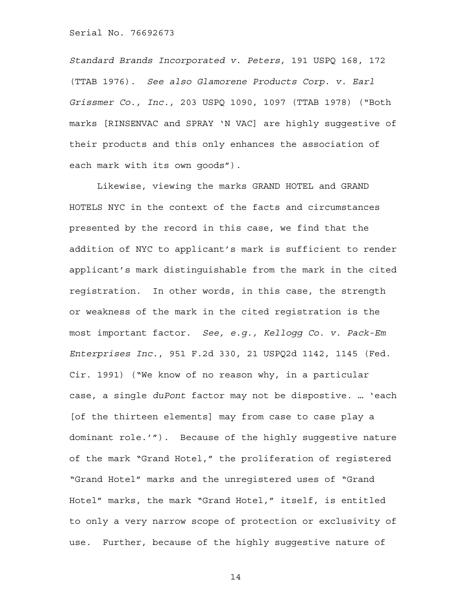*Standard Brands Incorporated v. Peters,* 191 USPQ 168, 172 (TTAB 1976). *See also Glamorene Products Corp. v. Earl Grissmer Co., Inc.,* 203 USPQ 1090, 1097 (TTAB 1978) ("Both marks [RINSENVAC and SPRAY 'N VAC] are highly suggestive of their products and this only enhances the association of each mark with its own goods").

 Likewise, viewing the marks GRAND HOTEL and GRAND HOTELS NYC in the context of the facts and circumstances presented by the record in this case, we find that the addition of NYC to applicant's mark is sufficient to render applicant's mark distinguishable from the mark in the cited registration. In other words, in this case, the strength or weakness of the mark in the cited registration is the most important factor. *See, e.g., Kellogg Co. v. Pack-Em Enterprises Inc.*, 951 F.2d 330, 21 USPQ2d 1142, 1145 (Fed. Cir. 1991) ("We know of no reason why, in a particular case, a single *duPont* factor may not be dispostive. … 'each [of the thirteen elements] may from case to case play a dominant role.'"). Because of the highly suggestive nature of the mark "Grand Hotel," the proliferation of registered "Grand Hotel" marks and the unregistered uses of "Grand Hotel" marks, the mark "Grand Hotel," itself, is entitled to only a very narrow scope of protection or exclusivity of use. Further, because of the highly suggestive nature of